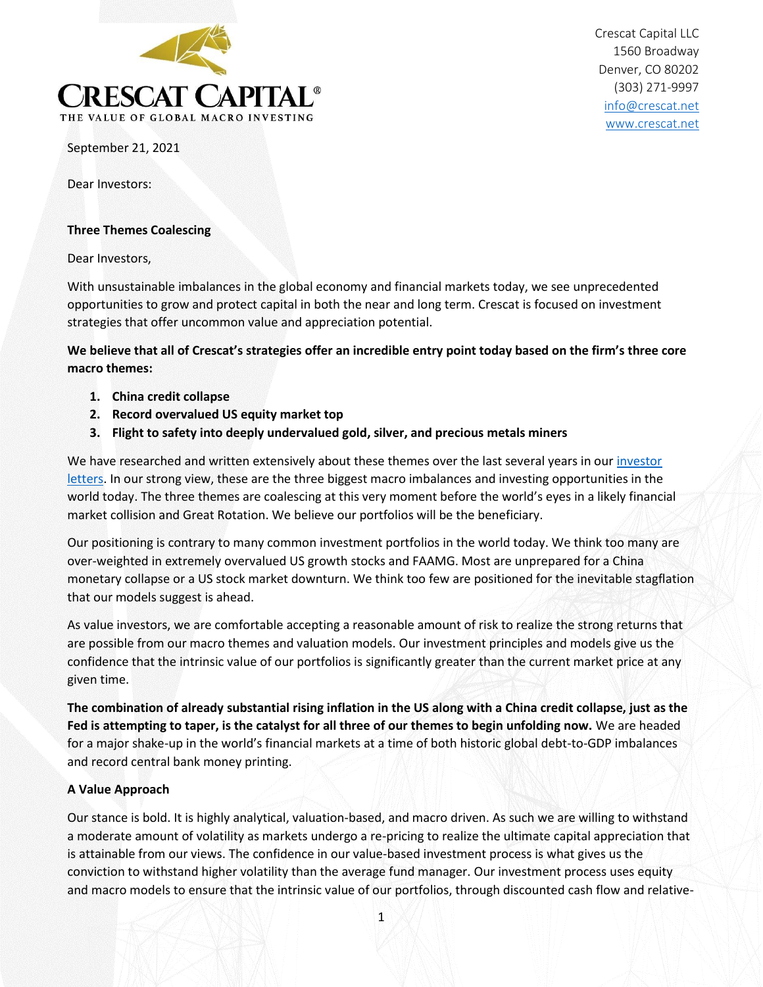

Crescat Capital LLC 1560 Broadway Denver, CO 80202 (303) 271-9997 [info@crescat.net](mailto:info@crescat.net) [www.crescat.net](http://www.crescat.net/)

September 21, 2021

Dear Investors:

#### **Three Themes Coalescing**

Dear Investors,

With unsustainable imbalances in the global economy and financial markets today, we see unprecedented opportunities to grow and protect capital in both the near and long term. Crescat is focused on investment strategies that offer uncommon value and appreciation potential.

**We believe that all of Crescat's strategies offer an incredible entry point today based on the firm's three core macro themes:**

- **1. China credit collapse**
- **2. Record overvalued US equity market top**
- **3. Flight to safety into deeply undervalued gold, silver, and precious metals miners**

We have researched and written extensively about these themes over the last several years in our investor [letters.](https://www.crescat.net/macro-research/investor-letters/) In our strong view, these are the three biggest macro imbalances and investing opportunities in the world today. The three themes are coalescing at this very moment before the world's eyes in a likely financial market collision and Great Rotation. We believe our portfolios will be the beneficiary.

Our positioning is contrary to many common investment portfolios in the world today. We think too many are over-weighted in extremely overvalued US growth stocks and FAAMG. Most are unprepared for a China monetary collapse or a US stock market downturn. We think too few are positioned for the inevitable stagflation that our models suggest is ahead.

As value investors, we are comfortable accepting a reasonable amount of risk to realize the strong returns that are possible from our macro themes and valuation models. Our investment principles and models give us the confidence that the intrinsic value of our portfolios is significantly greater than the current market price at any given time.

**The combination of already substantial rising inflation in the US along with a China credit collapse, just as the Fed is attempting to taper, is the catalyst for all three of our themes to begin unfolding now.** We are headed for a major shake-up in the world's financial markets at a time of both historic global debt-to-GDP imbalances and record central bank money printing.

# **A Value Approach**

Our stance is bold. It is highly analytical, valuation-based, and macro driven. As such we are willing to withstand a moderate amount of volatility as markets undergo a re-pricing to realize the ultimate capital appreciation that is attainable from our views. The confidence in our value-based investment process is what gives us the conviction to withstand higher volatility than the average fund manager. Our investment process uses equity and macro models to ensure that the intrinsic value of our portfolios, through discounted cash flow and relative-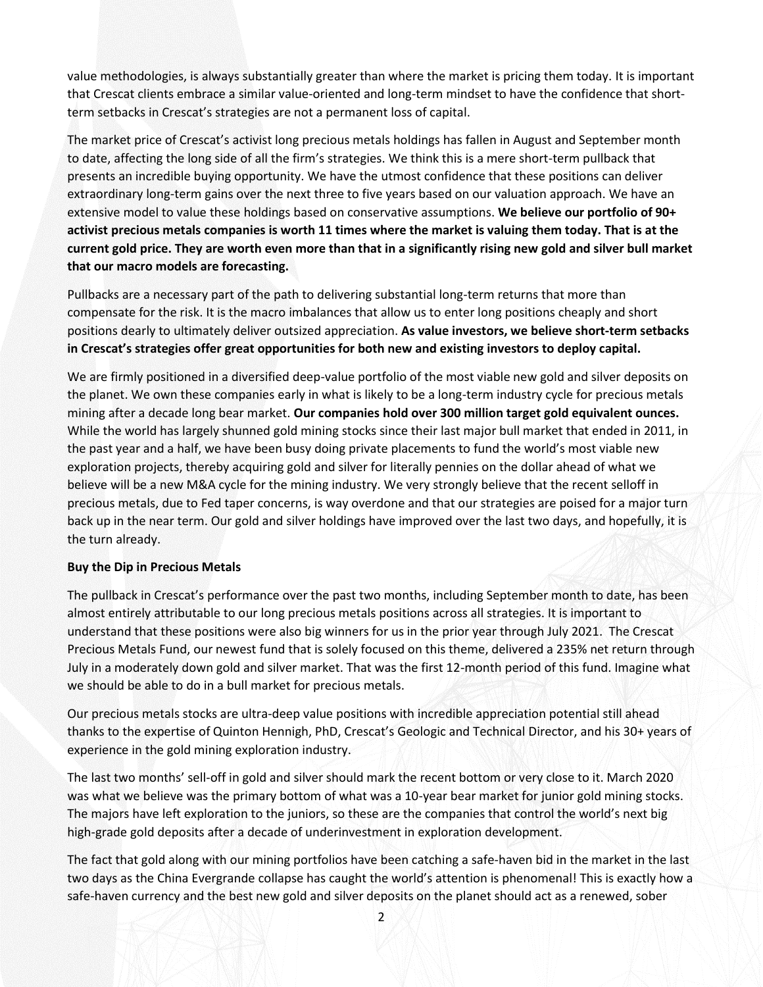value methodologies, is always substantially greater than where the market is pricing them today. It is important that Crescat clients embrace a similar value-oriented and long-term mindset to have the confidence that shortterm setbacks in Crescat's strategies are not a permanent loss of capital.

The market price of Crescat's activist long precious metals holdings has fallen in August and September month to date, affecting the long side of all the firm's strategies. We think this is a mere short-term pullback that presents an incredible buying opportunity. We have the utmost confidence that these positions can deliver extraordinary long-term gains over the next three to five years based on our valuation approach. We have an extensive model to value these holdings based on conservative assumptions. **We believe our portfolio of 90+ activist precious metals companies is worth 11 times where the market is valuing them today. That is at the current gold price. They are worth even more than that in a significantly rising new gold and silver bull market that our macro models are forecasting.**

Pullbacks are a necessary part of the path to delivering substantial long-term returns that more than compensate for the risk. It is the macro imbalances that allow us to enter long positions cheaply and short positions dearly to ultimately deliver outsized appreciation. **As value investors, we believe short-term setbacks in Crescat's strategies offer great opportunities for both new and existing investors to deploy capital.**

We are firmly positioned in a diversified deep-value portfolio of the most viable new gold and silver deposits on the planet. We own these companies early in what is likely to be a long-term industry cycle for precious metals mining after a decade long bear market. **Our companies hold over 300 million target gold equivalent ounces.**  While the world has largely shunned gold mining stocks since their last major bull market that ended in 2011, in the past year and a half, we have been busy doing private placements to fund the world's most viable new exploration projects, thereby acquiring gold and silver for literally pennies on the dollar ahead of what we believe will be a new M&A cycle for the mining industry. We very strongly believe that the recent selloff in precious metals, due to Fed taper concerns, is way overdone and that our strategies are poised for a major turn back up in the near term. Our gold and silver holdings have improved over the last two days, and hopefully, it is the turn already.

#### **Buy the Dip in Precious Metals**

The pullback in Crescat's performance over the past two months, including September month to date, has been almost entirely attributable to our long precious metals positions across all strategies. It is important to understand that these positions were also big winners for us in the prior year through July 2021. The Crescat Precious Metals Fund, our newest fund that is solely focused on this theme, delivered a 235% net return through July in a moderately down gold and silver market. That was the first 12-month period of this fund. Imagine what we should be able to do in a bull market for precious metals.

Our precious metals stocks are ultra-deep value positions with incredible appreciation potential still ahead thanks to the expertise of Quinton Hennigh, PhD, Crescat's Geologic and Technical Director, and his 30+ years of experience in the gold mining exploration industry.

The last two months' sell-off in gold and silver should mark the recent bottom or very close to it. March 2020 was what we believe was the primary bottom of what was a 10-year bear market for junior gold mining stocks. The majors have left exploration to the juniors, so these are the companies that control the world's next big high-grade gold deposits after a decade of underinvestment in exploration development.

The fact that gold along with our mining portfolios have been catching a safe-haven bid in the market in the last two days as the China Evergrande collapse has caught the world's attention is phenomenal! This is exactly how a safe-haven currency and the best new gold and silver deposits on the planet should act as a renewed, sober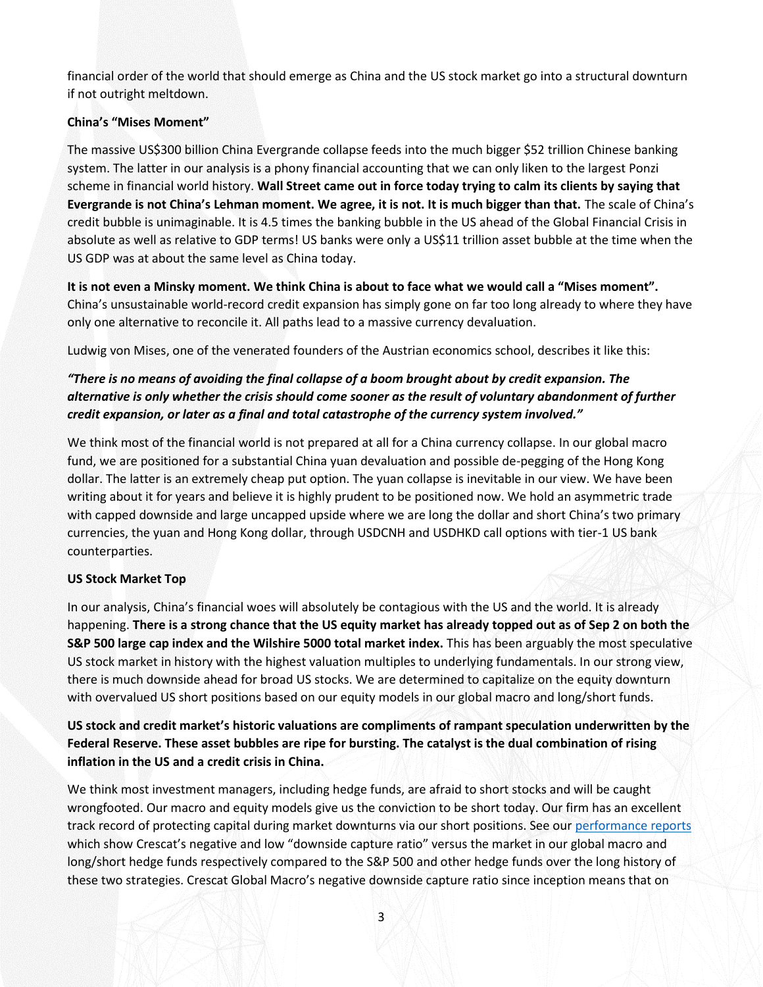financial order of the world that should emerge as China and the US stock market go into a structural downturn if not outright meltdown.

## **China's "Mises Moment"**

The massive US\$300 billion China Evergrande collapse feeds into the much bigger \$52 trillion Chinese banking system. The latter in our analysis is a phony financial accounting that we can only liken to the largest Ponzi scheme in financial world history. **Wall Street came out in force today trying to calm its clients by saying that Evergrande is not China's Lehman moment. We agree, it is not. It is much bigger than that.** The scale of China's credit bubble is unimaginable. It is 4.5 times the banking bubble in the US ahead of the Global Financial Crisis in absolute as well as relative to GDP terms! US banks were only a US\$11 trillion asset bubble at the time when the US GDP was at about the same level as China today.

**It is not even a Minsky moment. We think China is about to face what we would call a "Mises moment".** China's unsustainable world-record credit expansion has simply gone on far too long already to where they have only one alternative to reconcile it. All paths lead to a massive currency devaluation.

Ludwig von Mises, one of the venerated founders of the Austrian economics school, describes it like this:

# *"There is no means of avoiding the final collapse of a boom brought about by credit expansion. The alternative is only whether the crisis should come sooner as the result of voluntary abandonment of further credit expansion, or later as a final and total catastrophe of the currency system involved."*

We think most of the financial world is not prepared at all for a China currency collapse. In our global macro fund, we are positioned for a substantial China yuan devaluation and possible de-pegging of the Hong Kong dollar. The latter is an extremely cheap put option. The yuan collapse is inevitable in our view. We have been writing about it for years and believe it is highly prudent to be positioned now. We hold an asymmetric trade with capped downside and large uncapped upside where we are long the dollar and short China's two primary currencies, the yuan and Hong Kong dollar, through USDCNH and USDHKD call options with tier-1 US bank counterparties.

# **US Stock Market Top**

In our analysis, China's financial woes will absolutely be contagious with the US and the world. It is already happening. **There is a strong chance that the US equity market has already topped out as of Sep 2 on both the S&P 500 large cap index and the Wilshire 5000 total market index.** This has been arguably the most speculative US stock market in history with the highest valuation multiples to underlying fundamentals. In our strong view, there is much downside ahead for broad US stocks. We are determined to capitalize on the equity downturn with overvalued US short positions based on our equity models in our global macro and long/short funds.

**US stock and credit market's historic valuations are compliments of rampant speculation underwritten by the Federal Reserve. These asset bubbles are ripe for bursting. The catalyst is the dual combination of rising inflation in the US and a credit crisis in China.** 

We think most investment managers, including hedge funds, are afraid to short stocks and will be caught wrongfooted. Our macro and equity models give us the conviction to be short today. Our firm has an excellent track record of protecting capital during market downturns via our short positions. See ou[r performance reports](https://www.crescat.net/performance/) which show Crescat's negative and low "downside capture ratio" versus the market in our global macro and long/short hedge funds respectively compared to the S&P 500 and other hedge funds over the long history of these two strategies. Crescat Global Macro's negative downside capture ratio since inception means that on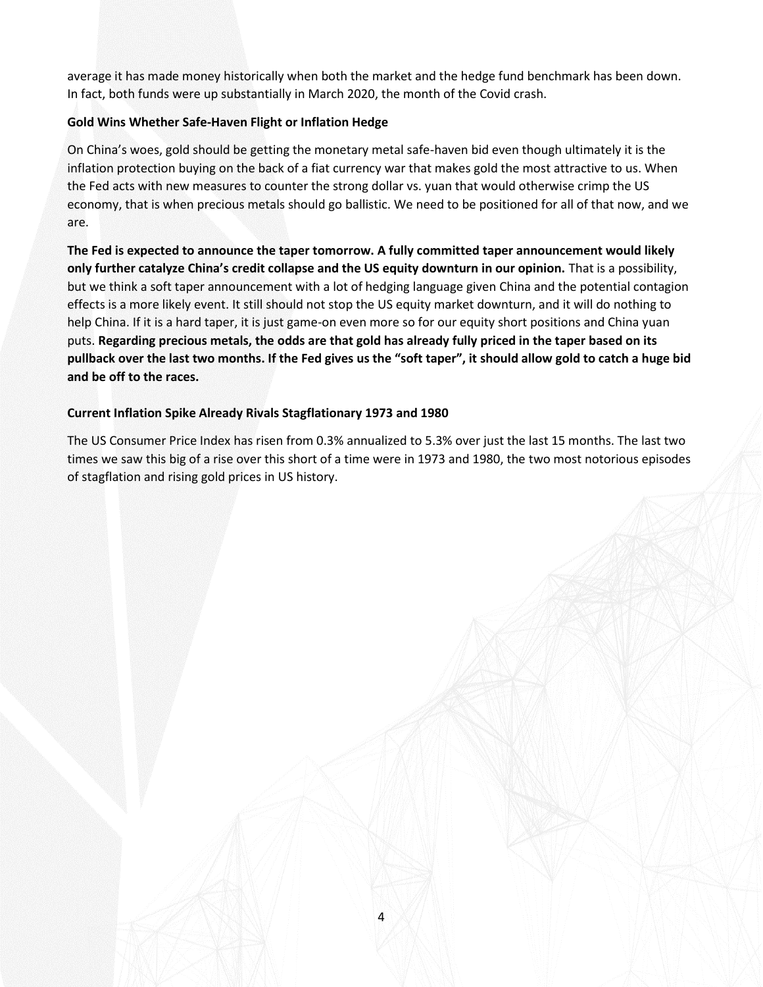average it has made money historically when both the market and the hedge fund benchmark has been down. In fact, both funds were up substantially in March 2020, the month of the Covid crash.

## **Gold Wins Whether Safe-Haven Flight or Inflation Hedge**

On China's woes, gold should be getting the monetary metal safe-haven bid even though ultimately it is the inflation protection buying on the back of a fiat currency war that makes gold the most attractive to us. When the Fed acts with new measures to counter the strong dollar vs. yuan that would otherwise crimp the US economy, that is when precious metals should go ballistic. We need to be positioned for all of that now, and we are.

**The Fed is expected to announce the taper tomorrow. A fully committed taper announcement would likely only further catalyze China's credit collapse and the US equity downturn in our opinion.** That is a possibility, but we think a soft taper announcement with a lot of hedging language given China and the potential contagion effects is a more likely event. It still should not stop the US equity market downturn, and it will do nothing to help China. If it is a hard taper, it is just game-on even more so for our equity short positions and China yuan puts. **Regarding precious metals, the odds are that gold has already fully priced in the taper based on its pullback over the last two months. If the Fed gives us the "soft taper", it should allow gold to catch a huge bid and be off to the races.**

## **Current Inflation Spike Already Rivals Stagflationary 1973 and 1980**

The US Consumer Price Index has risen from 0.3% annualized to 5.3% over just the last 15 months. The last two times we saw this big of a rise over this short of a time were in 1973 and 1980, the two most notorious episodes of stagflation and rising gold prices in US history.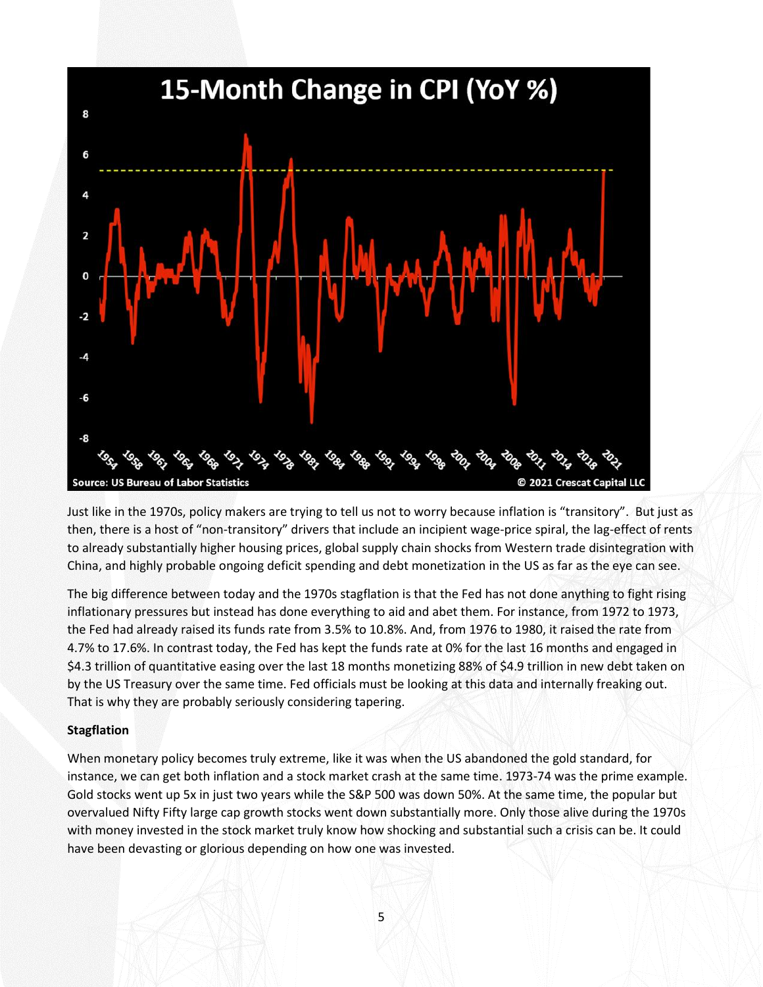

Just like in the 1970s, policy makers are trying to tell us not to worry because inflation is "transitory". But just as then, there is a host of "non-transitory" drivers that include an incipient wage-price spiral, the lag-effect of rents to already substantially higher housing prices, global supply chain shocks from Western trade disintegration with China, and highly probable ongoing deficit spending and debt monetization in the US as far as the eye can see.

The big difference between today and the 1970s stagflation is that the Fed has not done anything to fight rising inflationary pressures but instead has done everything to aid and abet them. For instance, from 1972 to 1973, the Fed had already raised its funds rate from 3.5% to 10.8%. And, from 1976 to 1980, it raised the rate from 4.7% to 17.6%. In contrast today, the Fed has kept the funds rate at 0% for the last 16 months and engaged in \$4.3 trillion of quantitative easing over the last 18 months monetizing 88% of \$4.9 trillion in new debt taken on by the US Treasury over the same time. Fed officials must be looking at this data and internally freaking out. That is why they are probably seriously considering tapering.

### **Stagflation**

When monetary policy becomes truly extreme, like it was when the US abandoned the gold standard, for instance, we can get both inflation and a stock market crash at the same time. 1973-74 was the prime example. Gold stocks went up 5x in just two years while the S&P 500 was down 50%. At the same time, the popular but overvalued Nifty Fifty large cap growth stocks went down substantially more. Only those alive during the 1970s with money invested in the stock market truly know how shocking and substantial such a crisis can be. It could have been devasting or glorious depending on how one was invested.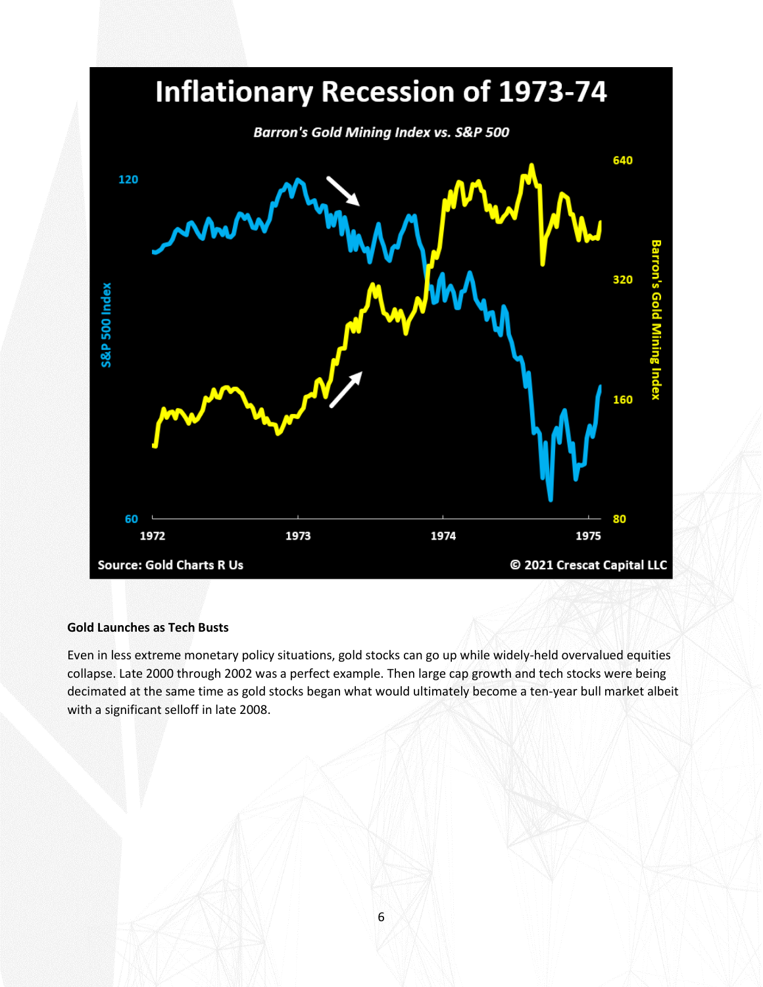

### **Gold Launches as Tech Busts**

Even in less extreme monetary policy situations, gold stocks can go up while widely-held overvalued equities collapse. Late 2000 through 2002 was a perfect example. Then large cap growth and tech stocks were being decimated at the same time as gold stocks began what would ultimately become a ten-year bull market albeit with a significant selloff in late 2008.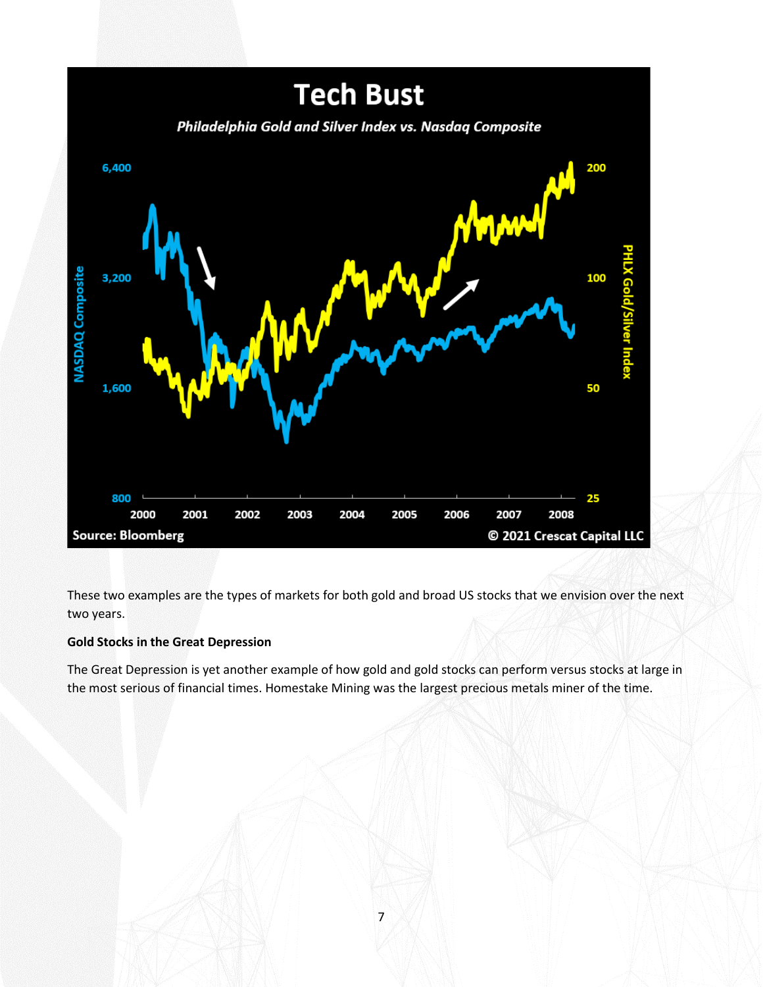

These two examples are the types of markets for both gold and broad US stocks that we envision over the next two years.

# **Gold Stocks in the Great Depression**

The Great Depression is yet another example of how gold and gold stocks can perform versus stocks at large in the most serious of financial times. Homestake Mining was the largest precious metals miner of the time.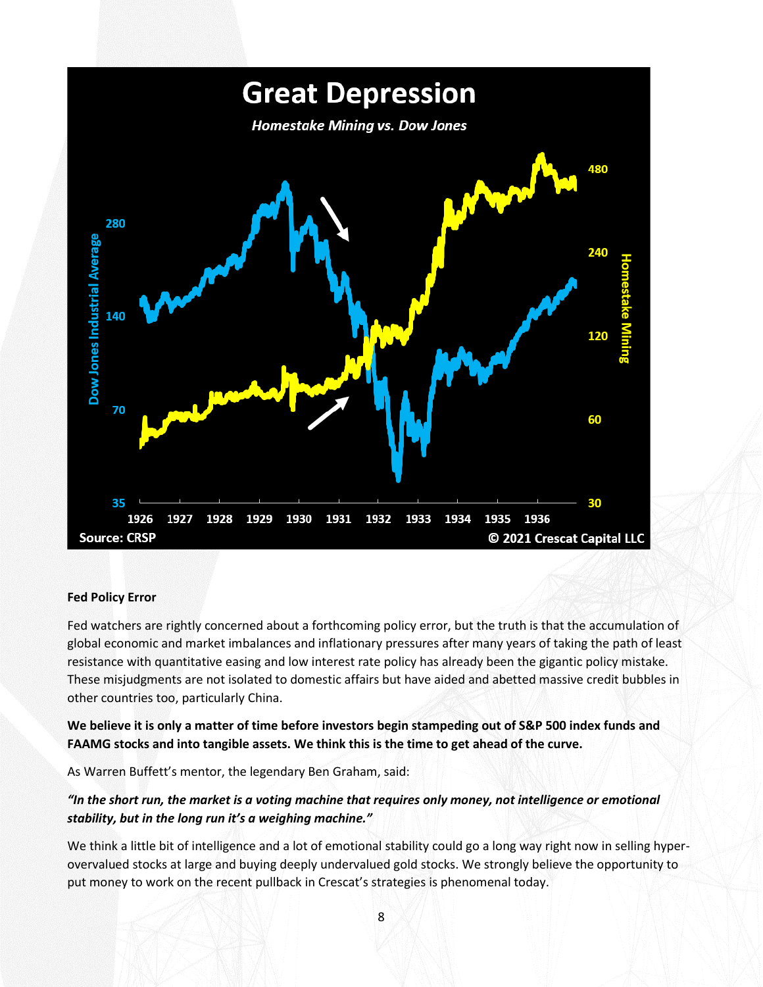

### **Fed Policy Error**

Fed watchers are rightly concerned about a forthcoming policy error, but the truth is that the accumulation of global economic and market imbalances and inflationary pressures after many years of taking the path of least resistance with quantitative easing and low interest rate policy has already been the gigantic policy mistake. These misjudgments are not isolated to domestic affairs but have aided and abetted massive credit bubbles in other countries too, particularly China.

**We believe it is only a matter of time before investors begin stampeding out of S&P 500 index funds and FAAMG stocks and into tangible assets. We think this is the time to get ahead of the curve.** 

As Warren Buffett's mentor, the legendary Ben Graham, said:

## *"In the short run, the market is a voting machine that requires only money, not intelligence or emotional stability, but in the long run it's a weighing machine."*

We think a little bit of intelligence and a lot of emotional stability could go a long way right now in selling hyperovervalued stocks at large and buying deeply undervalued gold stocks. We strongly believe the opportunity to put money to work on the recent pullback in Crescat's strategies is phenomenal today.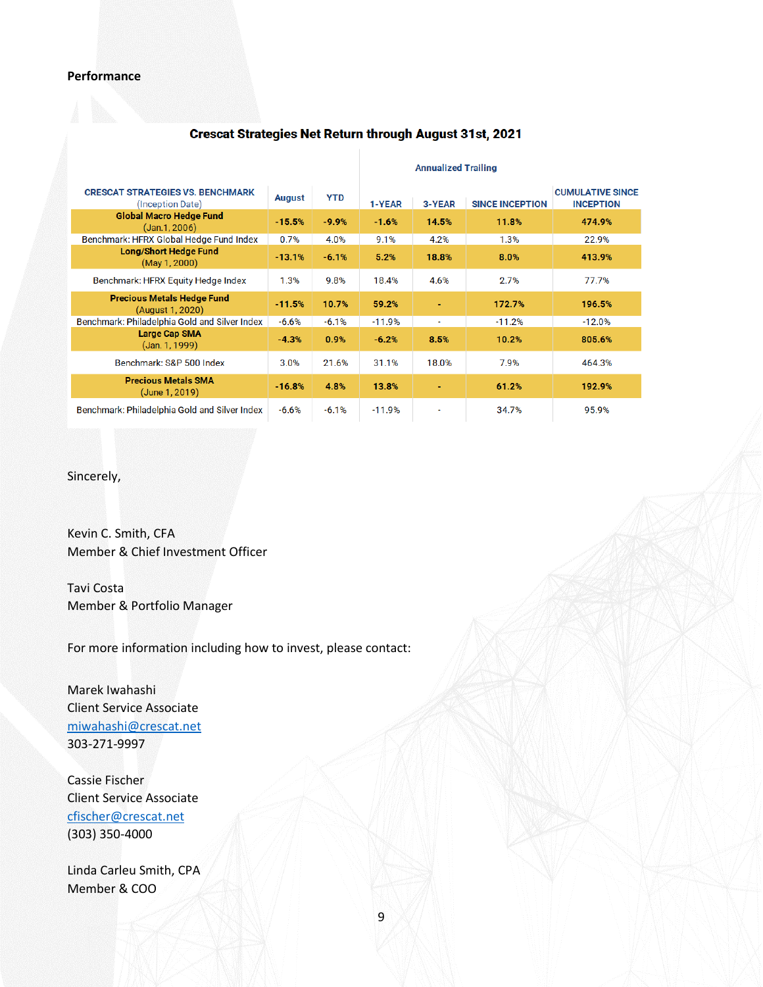#### **Annualized Trailing CRESCAT STRATEGIES VS. BENCHMARK CUMULATIVE SINCE August YTD** (Inception Date) 1-YEAR 3-YEAR **SINCE INCEPTION INCEPTION Global Macro Hedge Fund**  $-15.5%$  $-9.9%$  $-1.6%$ 14.5% 474.9% 11.8%  $(Jan.1, 2006)$ 0.7% 22.9% Benchmark: HFRX Global Hedge Fund Index 4.0% 9.1% 4.2%  $1.3%$ **Long/Short Hedge Fund**  $-13.1%$  $-6.1%$  $5.2%$ 18.8% 8.0% 413.9% (May 1, 2000) Benchmark: HFRX Equity Hedge Index 1.3% 9.8% 18.4% 4.6% 2.7% 77.7% **Precious Metals Hedge Fund**  $-11.5%$ 10.7% 59.2% ÷. 172.7% 196.5% (August 1, 2020) Benchmark: Philadelphia Gold and Silver Index  $-6.6%$  $-6.1%$  $-11.9%$  $-11.2%$  $-12.0%$  $\bar{\mathbf{z}}$ **Large Cap SMA**  $-6.2%$ 8.5% 805.6%  $-4.3%$ 0.9% 10.2% (Jan. 1, 1999) Benchmark: S&P 500 Index 3.0% 21.6% 31.1% 18.0% 7.9% 464.3% **Precious Metals SMA**  $-16.8%$ 4.8% 13.8% 61.2% 192.9% Ξ (June 1, 2019) Benchmark: Philadelphia Gold and Silver Index  $-6.6%$  $-6.1%$  $-11.9%$ 34.7% 95.9%

# **Crescat Strategies Net Return through August 31st, 2021**

Sincerely,

Kevin C. Smith, CFA Member & Chief Investment Officer

Tavi Costa Member & Portfolio Manager

For more information including how to invest, please contact:

Marek Iwahashi Client Service Associate [miwahashi@crescat.net](mailto:miwahashi@crescat.net) 303-271-9997

Cassie Fischer Client Service Associate [cfischer@crescat.net](mailto:cfischer@crescat.net) (303) 350-4000

Linda Carleu Smith, CPA Member & COO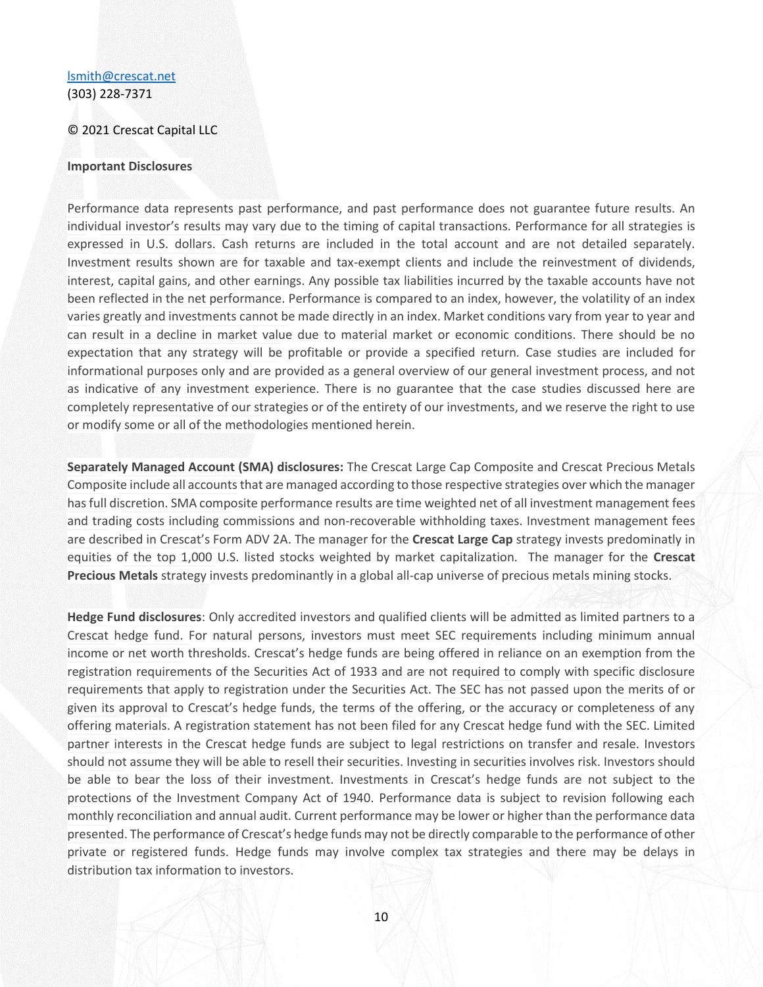### [lsmith@crescat.net](mailto:lsmith@crescat.net) (303) 228-7371

#### © 2021 Crescat Capital LLC

#### **Important Disclosures**

Performance data represents past performance, and past performance does not guarantee future results. An individual investor's results may vary due to the timing of capital transactions. Performance for all strategies is expressed in U.S. dollars. Cash returns are included in the total account and are not detailed separately. Investment results shown are for taxable and tax-exempt clients and include the reinvestment of dividends, interest, capital gains, and other earnings. Any possible tax liabilities incurred by the taxable accounts have not been reflected in the net performance. Performance is compared to an index, however, the volatility of an index varies greatly and investments cannot be made directly in an index. Market conditions vary from year to year and can result in a decline in market value due to material market or economic conditions. There should be no expectation that any strategy will be profitable or provide a specified return. Case studies are included for informational purposes only and are provided as a general overview of our general investment process, and not as indicative of any investment experience. There is no guarantee that the case studies discussed here are completely representative of our strategies or of the entirety of our investments, and we reserve the right to use or modify some or all of the methodologies mentioned herein.

**Separately Managed Account (SMA) disclosures:** The Crescat Large Cap Composite and Crescat Precious Metals Composite include all accounts that are managed according to those respective strategies over which the manager has full discretion. SMA composite performance results are time weighted net of all investment management fees and trading costs including commissions and non-recoverable withholding taxes. Investment management fees are described in Crescat's Form ADV 2A. The manager for the **Crescat Large Cap** strategy invests predominatly in equities of the top 1,000 U.S. listed stocks weighted by market capitalization. The manager for the **Crescat Precious Metals** strategy invests predominantly in a global all-cap universe of precious metals mining stocks.

**Hedge Fund disclosures**: Only accredited investors and qualified clients will be admitted as limited partners to a Crescat hedge fund. For natural persons, investors must meet SEC requirements including minimum annual income or net worth thresholds. Crescat's hedge funds are being offered in reliance on an exemption from the registration requirements of the Securities Act of 1933 and are not required to comply with specific disclosure requirements that apply to registration under the Securities Act. The SEC has not passed upon the merits of or given its approval to Crescat's hedge funds, the terms of the offering, or the accuracy or completeness of any offering materials. A registration statement has not been filed for any Crescat hedge fund with the SEC. Limited partner interests in the Crescat hedge funds are subject to legal restrictions on transfer and resale. Investors should not assume they will be able to resell their securities. Investing in securities involves risk. Investors should be able to bear the loss of their investment. Investments in Crescat's hedge funds are not subject to the protections of the Investment Company Act of 1940. Performance data is subject to revision following each monthly reconciliation and annual audit. Current performance may be lower or higher than the performance data presented. The performance of Crescat's hedge funds may not be directly comparable to the performance of other private or registered funds. Hedge funds may involve complex tax strategies and there may be delays in distribution tax information to investors.